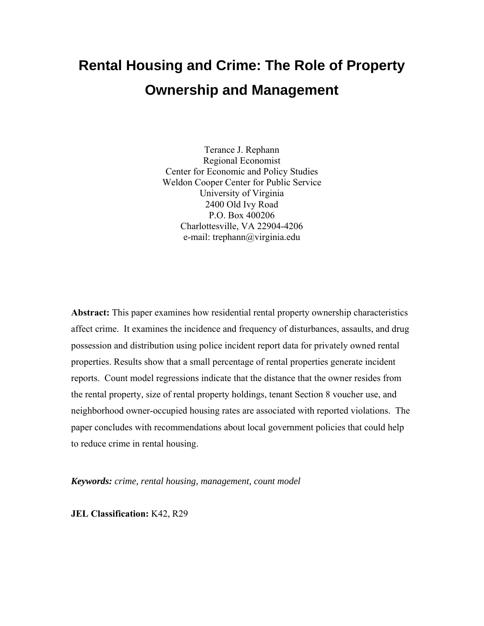# **Rental Housing and Crime: The Role of Property Ownership and Management**

Terance J. Rephann Regional Economist Center for Economic and Policy Studies Weldon Cooper Center for Public Service University of Virginia 2400 Old Ivy Road P.O. Box 400206 Charlottesville, VA 22904-4206 e-mail: trephann@virginia.edu

**Abstract:** This paper examines how residential rental property ownership characteristics affect crime. It examines the incidence and frequency of disturbances, assaults, and drug possession and distribution using police incident report data for privately owned rental properties. Results show that a small percentage of rental properties generate incident reports. Count model regressions indicate that the distance that the owner resides from the rental property, size of rental property holdings, tenant Section 8 voucher use, and neighborhood owner-occupied housing rates are associated with reported violations. The paper concludes with recommendations about local government policies that could help to reduce crime in rental housing.

*Keywords: crime, rental housing, management, count model* 

**JEL Classification:** K42, R29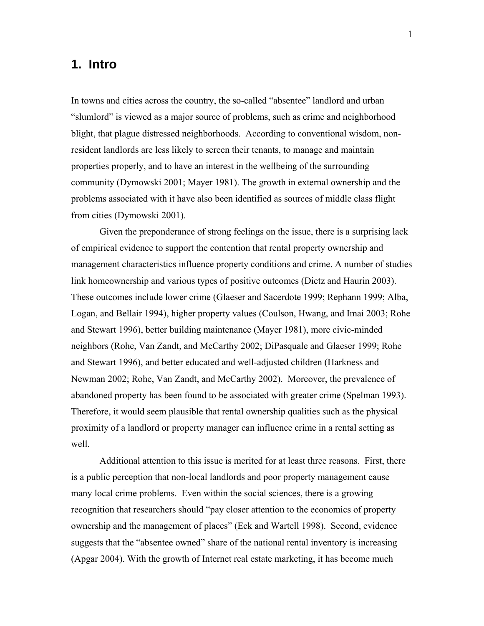### **1. Intro**

In towns and cities across the country, the so-called "absentee" landlord and urban "slumlord" is viewed as a major source of problems, such as crime and neighborhood blight, that plague distressed neighborhoods. According to conventional wisdom, nonresident landlords are less likely to screen their tenants, to manage and maintain properties properly, and to have an interest in the wellbeing of the surrounding community (Dymowski 2001; Mayer 1981). The growth in external ownership and the problems associated with it have also been identified as sources of middle class flight from cities (Dymowski 2001).

Given the preponderance of strong feelings on the issue, there is a surprising lack of empirical evidence to support the contention that rental property ownership and management characteristics influence property conditions and crime. A number of studies link homeownership and various types of positive outcomes (Dietz and Haurin 2003). These outcomes include lower crime (Glaeser and Sacerdote 1999; Rephann 1999; Alba, Logan, and Bellair 1994), higher property values (Coulson, Hwang, and Imai 2003; Rohe and Stewart 1996), better building maintenance (Mayer 1981), more civic-minded neighbors (Rohe, Van Zandt, and McCarthy 2002; DiPasquale and Glaeser 1999; Rohe and Stewart 1996), and better educated and well-adjusted children (Harkness and Newman 2002; Rohe, Van Zandt, and McCarthy 2002). Moreover, the prevalence of abandoned property has been found to be associated with greater crime (Spelman 1993). Therefore, it would seem plausible that rental ownership qualities such as the physical proximity of a landlord or property manager can influence crime in a rental setting as well.

Additional attention to this issue is merited for at least three reasons. First, there is a public perception that non-local landlords and poor property management cause many local crime problems. Even within the social sciences, there is a growing recognition that researchers should "pay closer attention to the economics of property ownership and the management of places" (Eck and Wartell 1998). Second, evidence suggests that the "absentee owned" share of the national rental inventory is increasing (Apgar 2004). With the growth of Internet real estate marketing, it has become much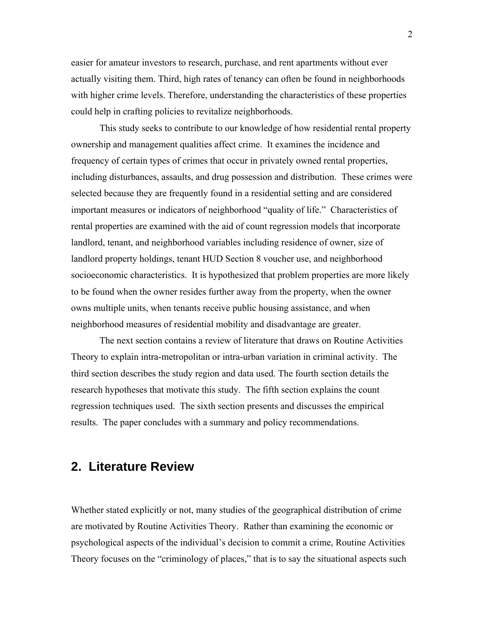easier for amateur investors to research, purchase, and rent apartments without ever actually visiting them. Third, high rates of tenancy can often be found in neighborhoods with higher crime levels. Therefore, understanding the characteristics of these properties could help in crafting policies to revitalize neighborhoods.

This study seeks to contribute to our knowledge of how residential rental property ownership and management qualities affect crime. It examines the incidence and frequency of certain types of crimes that occur in privately owned rental properties, including disturbances, assaults, and drug possession and distribution. These crimes were selected because they are frequently found in a residential setting and are considered important measures or indicators of neighborhood "quality of life." Characteristics of rental properties are examined with the aid of count regression models that incorporate landlord, tenant, and neighborhood variables including residence of owner, size of landlord property holdings, tenant HUD Section 8 voucher use, and neighborhood socioeconomic characteristics. It is hypothesized that problem properties are more likely to be found when the owner resides further away from the property, when the owner owns multiple units, when tenants receive public housing assistance, and when neighborhood measures of residential mobility and disadvantage are greater.

The next section contains a review of literature that draws on Routine Activities Theory to explain intra-metropolitan or intra-urban variation in criminal activity. The third section describes the study region and data used. The fourth section details the research hypotheses that motivate this study. The fifth section explains the count regression techniques used. The sixth section presents and discusses the empirical results. The paper concludes with a summary and policy recommendations.

### **2. Literature Review**

Whether stated explicitly or not, many studies of the geographical distribution of crime are motivated by Routine Activities Theory. Rather than examining the economic or psychological aspects of the individual's decision to commit a crime, Routine Activities Theory focuses on the "criminology of places," that is to say the situational aspects such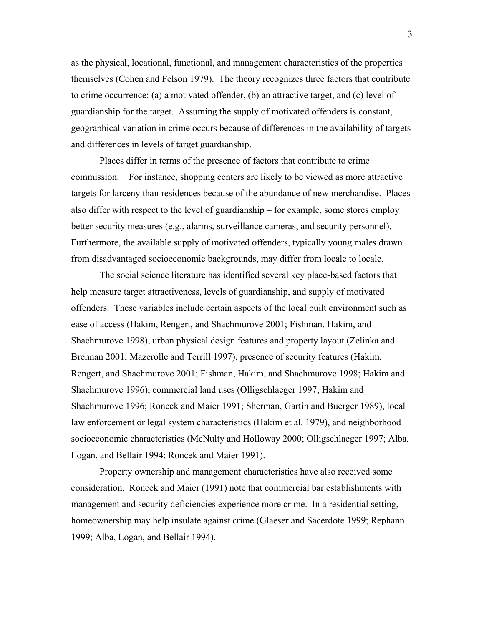as the physical, locational, functional, and management characteristics of the properties themselves (Cohen and Felson 1979). The theory recognizes three factors that contribute to crime occurrence: (a) a motivated offender, (b) an attractive target, and (c) level of guardianship for the target. Assuming the supply of motivated offenders is constant, geographical variation in crime occurs because of differences in the availability of targets and differences in levels of target guardianship.

Places differ in terms of the presence of factors that contribute to crime commission. For instance, shopping centers are likely to be viewed as more attractive targets for larceny than residences because of the abundance of new merchandise. Places also differ with respect to the level of guardianship – for example, some stores employ better security measures (e.g., alarms, surveillance cameras, and security personnel). Furthermore, the available supply of motivated offenders, typically young males drawn from disadvantaged socioeconomic backgrounds, may differ from locale to locale.

The social science literature has identified several key place-based factors that help measure target attractiveness, levels of guardianship, and supply of motivated offenders. These variables include certain aspects of the local built environment such as ease of access (Hakim, Rengert, and Shachmurove 2001; Fishman, Hakim, and Shachmurove 1998), urban physical design features and property layout (Zelinka and Brennan 2001; Mazerolle and Terrill 1997), presence of security features (Hakim, Rengert, and Shachmurove 2001; Fishman, Hakim, and Shachmurove 1998; Hakim and Shachmurove 1996), commercial land uses (Olligschlaeger 1997; Hakim and Shachmurove 1996; Roncek and Maier 1991; Sherman, Gartin and Buerger 1989), local law enforcement or legal system characteristics (Hakim et al. 1979), and neighborhood socioeconomic characteristics (McNulty and Holloway 2000; Olligschlaeger 1997; Alba, Logan, and Bellair 1994; Roncek and Maier 1991).

Property ownership and management characteristics have also received some consideration. Roncek and Maier (1991) note that commercial bar establishments with management and security deficiencies experience more crime. In a residential setting, homeownership may help insulate against crime (Glaeser and Sacerdote 1999; Rephann 1999; Alba, Logan, and Bellair 1994).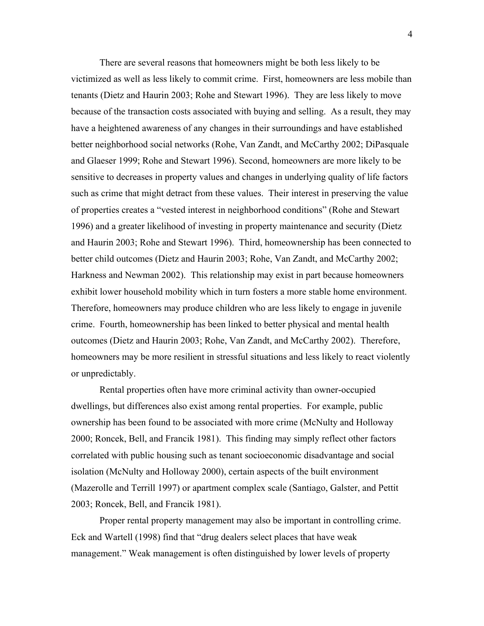There are several reasons that homeowners might be both less likely to be victimized as well as less likely to commit crime. First, homeowners are less mobile than tenants (Dietz and Haurin 2003; Rohe and Stewart 1996). They are less likely to move because of the transaction costs associated with buying and selling. As a result, they may have a heightened awareness of any changes in their surroundings and have established better neighborhood social networks (Rohe, Van Zandt, and McCarthy 2002; DiPasquale and Glaeser 1999; Rohe and Stewart 1996). Second, homeowners are more likely to be sensitive to decreases in property values and changes in underlying quality of life factors such as crime that might detract from these values. Their interest in preserving the value of properties creates a "vested interest in neighborhood conditions" (Rohe and Stewart 1996) and a greater likelihood of investing in property maintenance and security (Dietz and Haurin 2003; Rohe and Stewart 1996). Third, homeownership has been connected to better child outcomes (Dietz and Haurin 2003; Rohe, Van Zandt, and McCarthy 2002; Harkness and Newman 2002). This relationship may exist in part because homeowners exhibit lower household mobility which in turn fosters a more stable home environment. Therefore, homeowners may produce children who are less likely to engage in juvenile crime. Fourth, homeownership has been linked to better physical and mental health outcomes (Dietz and Haurin 2003; Rohe, Van Zandt, and McCarthy 2002). Therefore, homeowners may be more resilient in stressful situations and less likely to react violently or unpredictably.

Rental properties often have more criminal activity than owner-occupied dwellings, but differences also exist among rental properties. For example, public ownership has been found to be associated with more crime (McNulty and Holloway 2000; Roncek, Bell, and Francik 1981). This finding may simply reflect other factors correlated with public housing such as tenant socioeconomic disadvantage and social isolation (McNulty and Holloway 2000), certain aspects of the built environment (Mazerolle and Terrill 1997) or apartment complex scale (Santiago, Galster, and Pettit 2003; Roncek, Bell, and Francik 1981).

Proper rental property management may also be important in controlling crime. Eck and Wartell (1998) find that "drug dealers select places that have weak management." Weak management is often distinguished by lower levels of property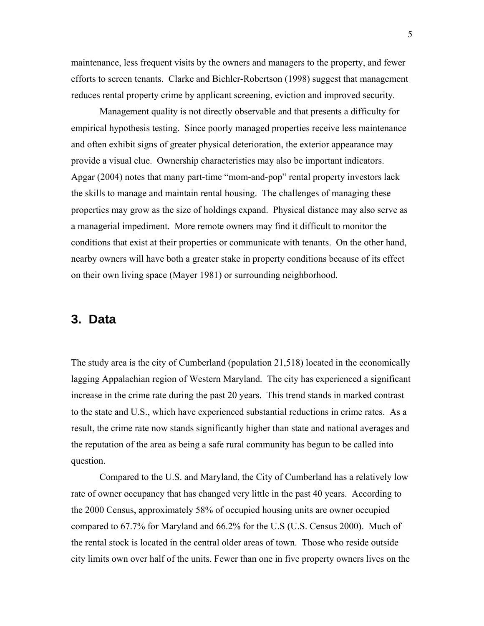maintenance, less frequent visits by the owners and managers to the property, and fewer efforts to screen tenants. Clarke and Bichler-Robertson (1998) suggest that management reduces rental property crime by applicant screening, eviction and improved security.

Management quality is not directly observable and that presents a difficulty for empirical hypothesis testing. Since poorly managed properties receive less maintenance and often exhibit signs of greater physical deterioration, the exterior appearance may provide a visual clue. Ownership characteristics may also be important indicators. Apgar (2004) notes that many part-time "mom-and-pop" rental property investors lack the skills to manage and maintain rental housing. The challenges of managing these properties may grow as the size of holdings expand. Physical distance may also serve as a managerial impediment. More remote owners may find it difficult to monitor the conditions that exist at their properties or communicate with tenants. On the other hand, nearby owners will have both a greater stake in property conditions because of its effect on their own living space (Mayer 1981) or surrounding neighborhood.

### **3. Data**

The study area is the city of Cumberland (population 21,518) located in the economically lagging Appalachian region of Western Maryland. The city has experienced a significant increase in the crime rate during the past 20 years. This trend stands in marked contrast to the state and U.S., which have experienced substantial reductions in crime rates. As a result, the crime rate now stands significantly higher than state and national averages and the reputation of the area as being a safe rural community has begun to be called into question.

Compared to the U.S. and Maryland, the City of Cumberland has a relatively low rate of owner occupancy that has changed very little in the past 40 years. According to the 2000 Census, approximately 58% of occupied housing units are owner occupied compared to 67.7% for Maryland and 66.2% for the U.S (U.S. Census 2000). Much of the rental stock is located in the central older areas of town. Those who reside outside city limits own over half of the units. Fewer than one in five property owners lives on the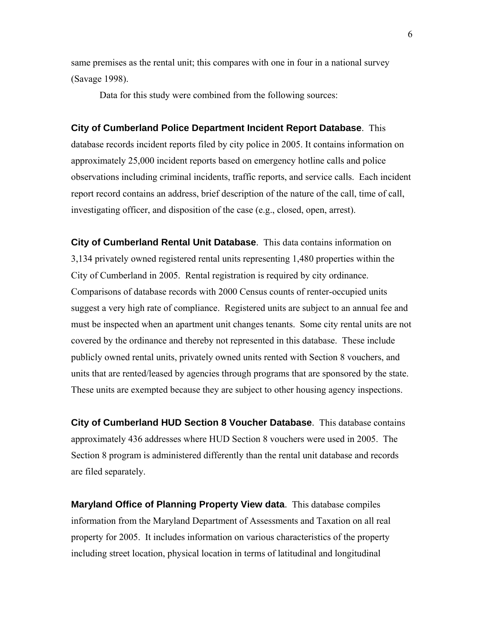same premises as the rental unit; this compares with one in four in a national survey (Savage 1998).

Data for this study were combined from the following sources:

**City of Cumberland Police Department Incident Report Database**. This database records incident reports filed by city police in 2005. It contains information on approximately 25,000 incident reports based on emergency hotline calls and police

observations including criminal incidents, traffic reports, and service calls. Each incident report record contains an address, brief description of the nature of the call, time of call, investigating officer, and disposition of the case (e.g., closed, open, arrest).

**City of Cumberland Rental Unit Database**. This data contains information on 3,134 privately owned registered rental units representing 1,480 properties within the City of Cumberland in 2005. Rental registration is required by city ordinance. Comparisons of database records with 2000 Census counts of renter-occupied units suggest a very high rate of compliance. Registered units are subject to an annual fee and must be inspected when an apartment unit changes tenants. Some city rental units are not covered by the ordinance and thereby not represented in this database. These include publicly owned rental units, privately owned units rented with Section 8 vouchers, and units that are rented/leased by agencies through programs that are sponsored by the state. These units are exempted because they are subject to other housing agency inspections.

**City of Cumberland HUD Section 8 Voucher Database**. This database contains approximately 436 addresses where HUD Section 8 vouchers were used in 2005. The Section 8 program is administered differently than the rental unit database and records are filed separately.

**Maryland Office of Planning Property View data**. This database compiles information from the Maryland Department of Assessments and Taxation on all real property for 2005. It includes information on various characteristics of the property including street location, physical location in terms of latitudinal and longitudinal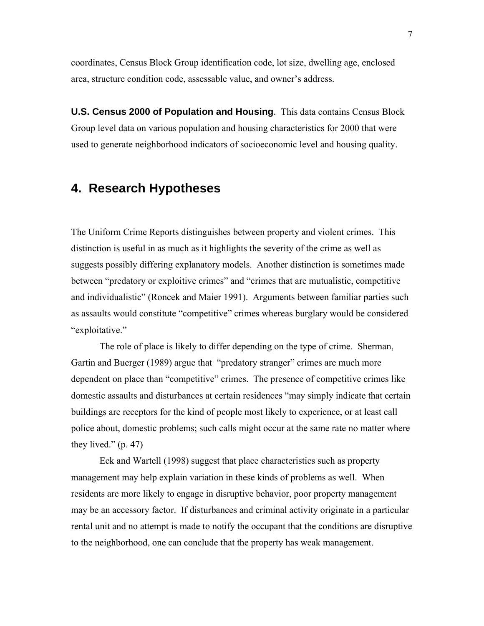coordinates, Census Block Group identification code, lot size, dwelling age, enclosed area, structure condition code, assessable value, and owner's address.

**U.S. Census 2000 of Population and Housing**. This data contains Census Block Group level data on various population and housing characteristics for 2000 that were used to generate neighborhood indicators of socioeconomic level and housing quality.

# **4. Research Hypotheses**

The Uniform Crime Reports distinguishes between property and violent crimes. This distinction is useful in as much as it highlights the severity of the crime as well as suggests possibly differing explanatory models. Another distinction is sometimes made between "predatory or exploitive crimes" and "crimes that are mutualistic, competitive and individualistic" (Roncek and Maier 1991). Arguments between familiar parties such as assaults would constitute "competitive" crimes whereas burglary would be considered "exploitative."

The role of place is likely to differ depending on the type of crime. Sherman, Gartin and Buerger (1989) argue that "predatory stranger" crimes are much more dependent on place than "competitive" crimes. The presence of competitive crimes like domestic assaults and disturbances at certain residences "may simply indicate that certain buildings are receptors for the kind of people most likely to experience, or at least call police about, domestic problems; such calls might occur at the same rate no matter where they lived."  $(p. 47)$ 

Eck and Wartell (1998) suggest that place characteristics such as property management may help explain variation in these kinds of problems as well. When residents are more likely to engage in disruptive behavior, poor property management may be an accessory factor. If disturbances and criminal activity originate in a particular rental unit and no attempt is made to notify the occupant that the conditions are disruptive to the neighborhood, one can conclude that the property has weak management.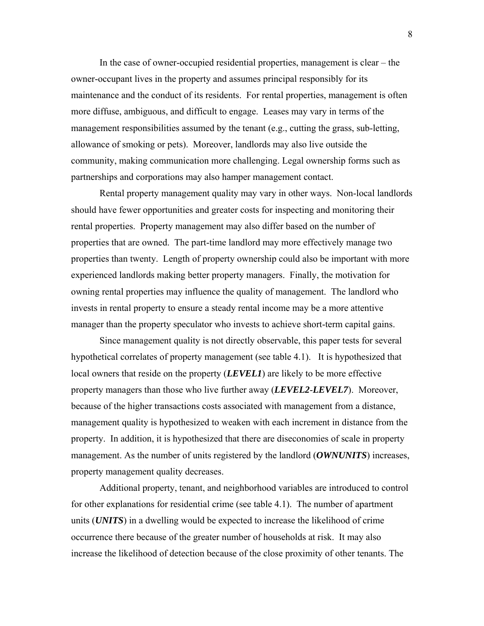In the case of owner-occupied residential properties, management is clear – the owner-occupant lives in the property and assumes principal responsibly for its maintenance and the conduct of its residents. For rental properties, management is often more diffuse, ambiguous, and difficult to engage. Leases may vary in terms of the management responsibilities assumed by the tenant (e.g., cutting the grass, sub-letting, allowance of smoking or pets). Moreover, landlords may also live outside the community, making communication more challenging. Legal ownership forms such as partnerships and corporations may also hamper management contact.

Rental property management quality may vary in other ways. Non-local landlords should have fewer opportunities and greater costs for inspecting and monitoring their rental properties. Property management may also differ based on the number of properties that are owned. The part-time landlord may more effectively manage two properties than twenty. Length of property ownership could also be important with more experienced landlords making better property managers. Finally, the motivation for owning rental properties may influence the quality of management. The landlord who invests in rental property to ensure a steady rental income may be a more attentive manager than the property speculator who invests to achieve short-term capital gains.

Since management quality is not directly observable, this paper tests for several hypothetical correlates of property management (see table 4.1). It is hypothesized that local owners that reside on the property (*LEVEL1*) are likely to be more effective property managers than those who live further away (*LEVEL2*-*LEVEL7*). Moreover, because of the higher transactions costs associated with management from a distance, management quality is hypothesized to weaken with each increment in distance from the property. In addition, it is hypothesized that there are diseconomies of scale in property management. As the number of units registered by the landlord (*OWNUNITS*) increases, property management quality decreases.

Additional property, tenant, and neighborhood variables are introduced to control for other explanations for residential crime (see table 4.1). The number of apartment units (*UNITS*) in a dwelling would be expected to increase the likelihood of crime occurrence there because of the greater number of households at risk. It may also increase the likelihood of detection because of the close proximity of other tenants. The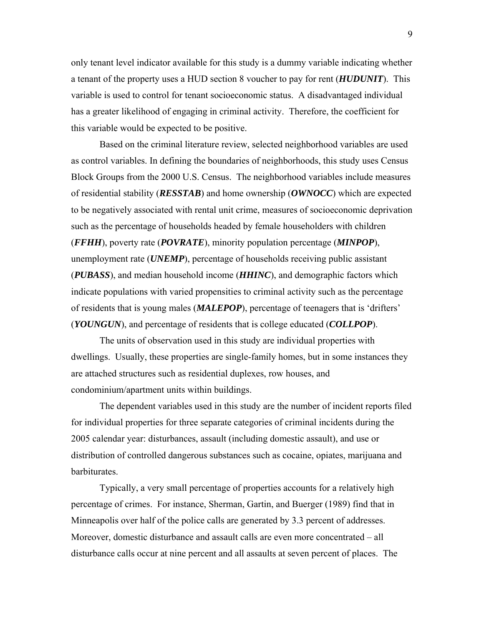only tenant level indicator available for this study is a dummy variable indicating whether a tenant of the property uses a HUD section 8 voucher to pay for rent (*HUDUNIT*). This variable is used to control for tenant socioeconomic status. A disadvantaged individual has a greater likelihood of engaging in criminal activity. Therefore, the coefficient for this variable would be expected to be positive.

Based on the criminal literature review, selected neighborhood variables are used as control variables. In defining the boundaries of neighborhoods, this study uses Census Block Groups from the 2000 U.S. Census. The neighborhood variables include measures of residential stability (*RESSTAB*) and home ownership (*OWNOCC*) which are expected to be negatively associated with rental unit crime, measures of socioeconomic deprivation such as the percentage of households headed by female householders with children (*FFHH*), poverty rate (*POVRATE*), minority population percentage (*MINPOP*), unemployment rate (*UNEMP*), percentage of households receiving public assistant (*PUBASS*), and median household income (*HHINC*), and demographic factors which indicate populations with varied propensities to criminal activity such as the percentage of residents that is young males (*MALEPOP*), percentage of teenagers that is 'drifters' (*YOUNGUN*), and percentage of residents that is college educated (*COLLPOP*).

The units of observation used in this study are individual properties with dwellings. Usually, these properties are single-family homes, but in some instances they are attached structures such as residential duplexes, row houses, and condominium/apartment units within buildings.

The dependent variables used in this study are the number of incident reports filed for individual properties for three separate categories of criminal incidents during the 2005 calendar year: disturbances, assault (including domestic assault), and use or distribution of controlled dangerous substances such as cocaine, opiates, marijuana and barbiturates.

Typically, a very small percentage of properties accounts for a relatively high percentage of crimes. For instance, Sherman, Gartin, and Buerger (1989) find that in Minneapolis over half of the police calls are generated by 3.3 percent of addresses. Moreover, domestic disturbance and assault calls are even more concentrated – all disturbance calls occur at nine percent and all assaults at seven percent of places. The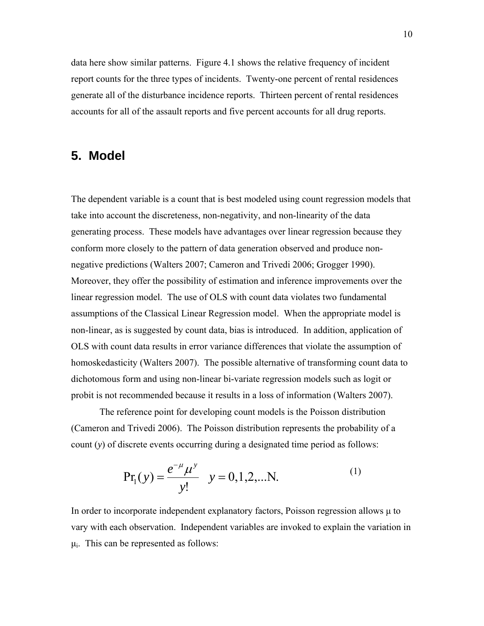data here show similar patterns. Figure 4.1 shows the relative frequency of incident report counts for the three types of incidents. Twenty-one percent of rental residences generate all of the disturbance incidence reports. Thirteen percent of rental residences accounts for all of the assault reports and five percent accounts for all drug reports.

# **5. Model**

The dependent variable is a count that is best modeled using count regression models that take into account the discreteness, non-negativity, and non-linearity of the data generating process. These models have advantages over linear regression because they conform more closely to the pattern of data generation observed and produce nonnegative predictions (Walters 2007; Cameron and Trivedi 2006; Grogger 1990). Moreover, they offer the possibility of estimation and inference improvements over the linear regression model. The use of OLS with count data violates two fundamental assumptions of the Classical Linear Regression model. When the appropriate model is non-linear, as is suggested by count data, bias is introduced. In addition, application of OLS with count data results in error variance differences that violate the assumption of homoskedasticity (Walters 2007). The possible alternative of transforming count data to dichotomous form and using non-linear bi-variate regression models such as logit or probit is not recommended because it results in a loss of information (Walters 2007).

The reference point for developing count models is the Poisson distribution (Cameron and Trivedi 2006). The Poisson distribution represents the probability of a count (*y*) of discrete events occurring during a designated time period as follows:

$$
Pr_1(y) = \frac{e^{-\mu} \mu^y}{y!} \quad y = 0, 1, 2, \dots N.
$$
 (1)

In order to incorporate independent explanatory factors, Poisson regression allows  $\mu$  to vary with each observation. Independent variables are invoked to explain the variation in  $\mu_i$ . This can be represented as follows: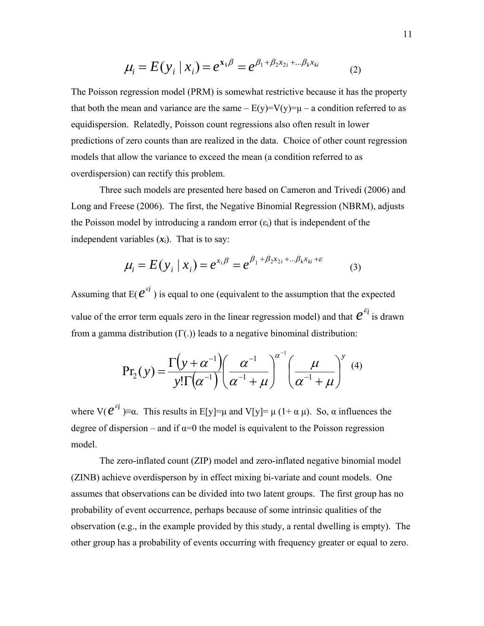$$
\mu_i = E(y_i | x_i) = e^{x_i \beta} = e^{\beta_1 + \beta_2 x_{2i} + \dots + \beta_k x_{ki}}
$$
 (2)

The Poisson regression model (PRM) is somewhat restrictive because it has the property that both the mean and variance are the same –  $E(y)=V(y)=\mu - a$  condition referred to as equidispersion. Relatedly, Poisson count regressions also often result in lower predictions of zero counts than are realized in the data. Choice of other count regression models that allow the variance to exceed the mean (a condition referred to as overdispersion) can rectify this problem.

Three such models are presented here based on Cameron and Trivedi (2006) and Long and Freese (2006). The first, the Negative Binomial Regression (NBRM), adjusts the Poisson model by introducing a random error  $(\epsilon_i)$  that is independent of the independent variables  $(x_i)$ . That is to say:

$$
\mu_i = E(y_i | x_i) = e^{x_i \beta} = e^{\beta_1 + \beta_2 x_{2i} + \dots + \beta_k x_{ki} + \varepsilon}
$$
 (3)

Assuming that  $E(e^{i})$  is equal to one (equivalent to the assumption that the expected value of the error term equals zero in the linear regression model) and that  $e^{\varepsilon_i}$  is drawn from a gamma distribution (Γ(.)) leads to a negative binominal distribution:

$$
Pr_2(y) = \frac{\Gamma(y + \alpha^{-1})}{y! \Gamma(\alpha^{-1})} \left(\frac{\alpha^{-1}}{\alpha^{-1} + \mu}\right)^{\alpha^{-1}} \left(\frac{\mu}{\alpha^{-1} + \mu}\right)^{y}
$$
(4)

where  $V(e^{i\theta}) \equiv \alpha$ . This results in E[y]= $\mu$  and V[y]= $\mu$  (1+ $\alpha \mu$ ). So,  $\alpha$  influences the degree of dispersion – and if  $\alpha=0$  the model is equivalent to the Poisson regression model.

The zero-inflated count (ZIP) model and zero-inflated negative binomial model (ZINB) achieve overdisperson by in effect mixing bi-variate and count models. One assumes that observations can be divided into two latent groups. The first group has no probability of event occurrence, perhaps because of some intrinsic qualities of the observation (e.g., in the example provided by this study, a rental dwelling is empty). The other group has a probability of events occurring with frequency greater or equal to zero.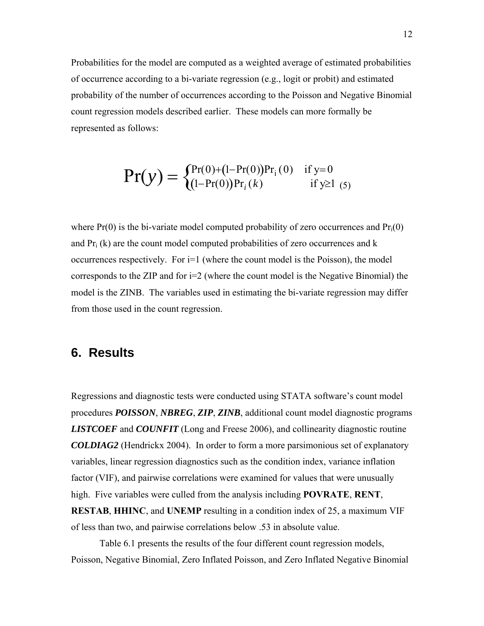Probabilities for the model are computed as a weighted average of estimated probabilities of occurrence according to a bi-variate regression (e.g., logit or probit) and estimated probability of the number of occurrences according to the Poisson and Negative Binomial count regression models described earlier. These models can more formally be represented as follows:

$$
Pr(y) = \begin{cases} Pr(0) + (1 - Pr(0))Pr_i(0) & \text{if } y = 0\\ (1 - Pr(0))Pr_i(k) & \text{if } y \ge 1\\ 5) \end{cases}
$$

where  $Pr(0)$  is the bi-variate model computed probability of zero occurrences and  $Pr_i(0)$ and  $Pr_i(k)$  are the count model computed probabilities of zero occurrences and k occurrences respectively. For i=1 (where the count model is the Poisson), the model corresponds to the ZIP and for  $i=2$  (where the count model is the Negative Binomial) the model is the ZINB. The variables used in estimating the bi-variate regression may differ from those used in the count regression.

### **6. Results**

Regressions and diagnostic tests were conducted using STATA software's count model procedures *POISSON*, *NBREG*, *ZIP*, *ZINB*, additional count model diagnostic programs *LISTCOEF* and *COUNFIT* (Long and Freese 2006), and collinearity diagnostic routine *COLDIAG2* (Hendrickx 2004). In order to form a more parsimonious set of explanatory variables, linear regression diagnostics such as the condition index, variance inflation factor (VIF), and pairwise correlations were examined for values that were unusually high. Five variables were culled from the analysis including **POVRATE**, **RENT**, **RESTAB**, **HHINC**, and **UNEMP** resulting in a condition index of 25, a maximum VIF

of less than two, and pairwise correlations below .53 in absolute value.

Table 6.1 presents the results of the four different count regression models, Poisson, Negative Binomial, Zero Inflated Poisson, and Zero Inflated Negative Binomial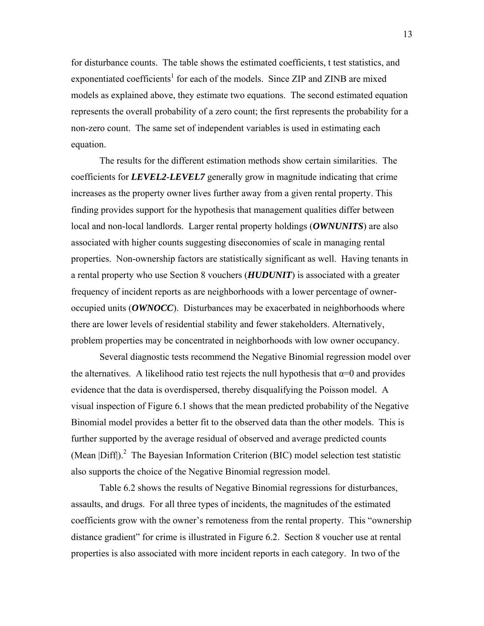for disturbance counts. The table shows the estimated coefficients, t test statistics, and exponentiated coefficients<sup>1</sup> for each of the models. Since ZIP and ZINB are mixed models as explained above, they estimate two equations. The second estimated equation represents the overall probability of a zero count; the first represents the probability for a non-zero count. The same set of independent variables is used in estimating each equation.

The results for the different estimation methods show certain similarities. The coefficients for *LEVEL2*-*LEVEL7* generally grow in magnitude indicating that crime increases as the property owner lives further away from a given rental property. This finding provides support for the hypothesis that management qualities differ between local and non-local landlords. Larger rental property holdings (*OWNUNITS*) are also associated with higher counts suggesting diseconomies of scale in managing rental properties. Non-ownership factors are statistically significant as well. Having tenants in a rental property who use Section 8 vouchers (*HUDUNIT*) is associated with a greater frequency of incident reports as are neighborhoods with a lower percentage of owneroccupied units (*OWNOCC*). Disturbances may be exacerbated in neighborhoods where there are lower levels of residential stability and fewer stakeholders. Alternatively, problem properties may be concentrated in neighborhoods with low owner occupancy.

Several diagnostic tests recommend the Negative Binomial regression model over the alternatives. A likelihood ratio test rejects the null hypothesis that  $\alpha=0$  and provides evidence that the data is overdispersed, thereby disqualifying the Poisson model. A visual inspection of Figure 6.1 shows that the mean predicted probability of the Negative Binomial model provides a better fit to the observed data than the other models. This is further supported by the average residual of observed and average predicted counts (Mean  $|Diff$ ).<sup>2</sup> The Bayesian Information Criterion (BIC) model selection test statistic also supports the choice of the Negative Binomial regression model.

Table 6.2 shows the results of Negative Binomial regressions for disturbances, assaults, and drugs. For all three types of incidents, the magnitudes of the estimated coefficients grow with the owner's remoteness from the rental property. This "ownership distance gradient" for crime is illustrated in Figure 6.2. Section 8 voucher use at rental properties is also associated with more incident reports in each category. In two of the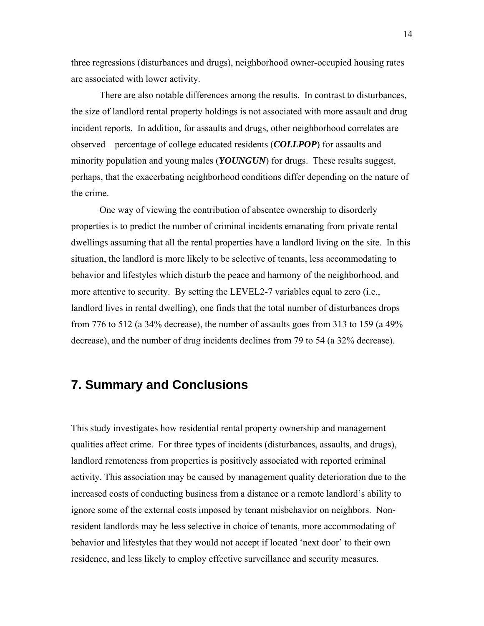three regressions (disturbances and drugs), neighborhood owner-occupied housing rates are associated with lower activity.

There are also notable differences among the results. In contrast to disturbances, the size of landlord rental property holdings is not associated with more assault and drug incident reports. In addition, for assaults and drugs, other neighborhood correlates are observed – percentage of college educated residents (*COLLPOP*) for assaults and minority population and young males (*YOUNGUN*) for drugs. These results suggest, perhaps, that the exacerbating neighborhood conditions differ depending on the nature of the crime.

One way of viewing the contribution of absentee ownership to disorderly properties is to predict the number of criminal incidents emanating from private rental dwellings assuming that all the rental properties have a landlord living on the site. In this situation, the landlord is more likely to be selective of tenants, less accommodating to behavior and lifestyles which disturb the peace and harmony of the neighborhood, and more attentive to security. By setting the LEVEL2-7 variables equal to zero (i.e., landlord lives in rental dwelling), one finds that the total number of disturbances drops from 776 to 512 (a 34% decrease), the number of assaults goes from 313 to 159 (a 49% decrease), and the number of drug incidents declines from 79 to 54 (a 32% decrease).

# **7. Summary and Conclusions**

This study investigates how residential rental property ownership and management qualities affect crime. For three types of incidents (disturbances, assaults, and drugs), landlord remoteness from properties is positively associated with reported criminal activity. This association may be caused by management quality deterioration due to the increased costs of conducting business from a distance or a remote landlord's ability to ignore some of the external costs imposed by tenant misbehavior on neighbors. Nonresident landlords may be less selective in choice of tenants, more accommodating of behavior and lifestyles that they would not accept if located 'next door' to their own residence, and less likely to employ effective surveillance and security measures.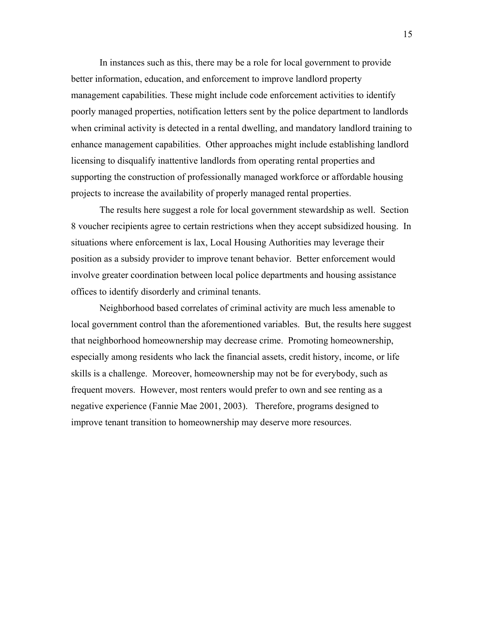In instances such as this, there may be a role for local government to provide better information, education, and enforcement to improve landlord property management capabilities. These might include code enforcement activities to identify poorly managed properties, notification letters sent by the police department to landlords when criminal activity is detected in a rental dwelling, and mandatory landlord training to enhance management capabilities. Other approaches might include establishing landlord licensing to disqualify inattentive landlords from operating rental properties and supporting the construction of professionally managed workforce or affordable housing projects to increase the availability of properly managed rental properties.

The results here suggest a role for local government stewardship as well. Section 8 voucher recipients agree to certain restrictions when they accept subsidized housing. In situations where enforcement is lax, Local Housing Authorities may leverage their position as a subsidy provider to improve tenant behavior. Better enforcement would involve greater coordination between local police departments and housing assistance offices to identify disorderly and criminal tenants.

Neighborhood based correlates of criminal activity are much less amenable to local government control than the aforementioned variables. But, the results here suggest that neighborhood homeownership may decrease crime. Promoting homeownership, especially among residents who lack the financial assets, credit history, income, or life skills is a challenge. Moreover, homeownership may not be for everybody, such as frequent movers. However, most renters would prefer to own and see renting as a negative experience (Fannie Mae 2001, 2003). Therefore, programs designed to improve tenant transition to homeownership may deserve more resources.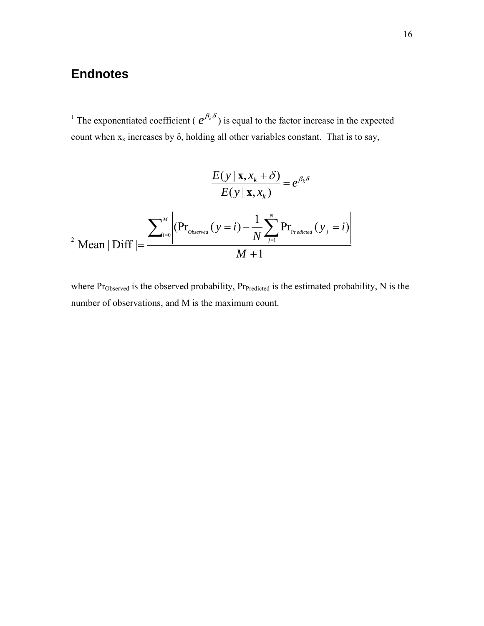# **Endnotes**

<sup>1</sup> The exponentiated coefficient ( $e^{\beta_k \delta}$ ) is equal to the factor increase in the expected count when  $x_k$  increases by  $\delta$ , holding all other variables constant. That is to say,

$$
\frac{E(y | \mathbf{x}, x_k + \delta)}{E(y | \mathbf{x}, x_k)} = e^{\beta_k \delta}
$$
\n
$$
= e^{\beta_k \delta}
$$
\n
$$
P_{\text{mean}} \text{Diff} = \frac{\sum_{i=0}^{M} \left| (\Pr_{\text{observed}}(y = i) - \frac{1}{N} \sum_{j=1}^{N} \Pr_{\text{Predicted}}(y_j = i) \right|}{M + 1}
$$

where Pr<sub>Observed</sub> is the observed probability, Pr<sub>Predicted</sub> is the estimated probability, N is the number of observations, and M is the maximum count.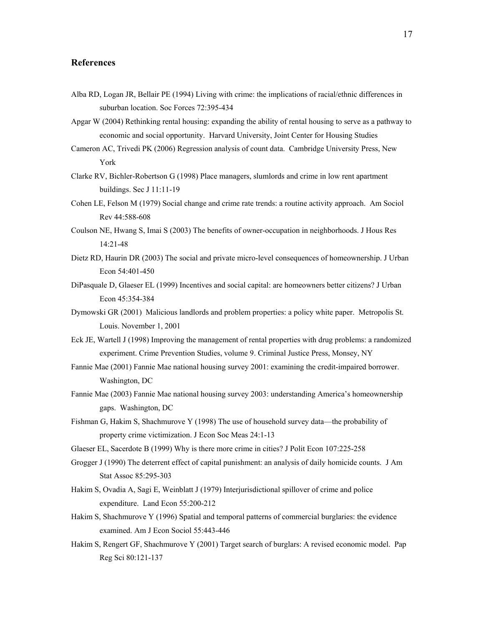#### **References**

- Alba RD, Logan JR, Bellair PE (1994) Living with crime: the implications of racial/ethnic differences in suburban location. Soc Forces 72:395-434
- Apgar W (2004) Rethinking rental housing: expanding the ability of rental housing to serve as a pathway to economic and social opportunity. Harvard University, Joint Center for Housing Studies
- Cameron AC, Trivedi PK (2006) Regression analysis of count data. Cambridge University Press, New York
- Clarke RV, Bichler-Robertson G (1998) Place managers, slumlords and crime in low rent apartment buildings. Sec J 11:11-19
- Cohen LE, Felson M (1979) Social change and crime rate trends: a routine activity approach. Am Sociol Rev 44:588-608
- Coulson NE, Hwang S, Imai S (2003) The benefits of owner-occupation in neighborhoods. J Hous Res 14:21-48
- Dietz RD, Haurin DR (2003) The social and private micro-level consequences of homeownership. J Urban Econ 54:401-450
- DiPasquale D, Glaeser EL (1999) Incentives and social capital: are homeowners better citizens? J Urban Econ 45:354-384
- Dymowski GR (2001) Malicious landlords and problem properties: a policy white paper. Metropolis St. Louis. November 1, 2001
- Eck JE, Wartell J (1998) Improving the management of rental properties with drug problems: a randomized experiment. Crime Prevention Studies, volume 9. Criminal Justice Press, Monsey, NY
- Fannie Mae (2001) Fannie Mae national housing survey 2001: examining the credit-impaired borrower. Washington, DC
- Fannie Mae (2003) Fannie Mae national housing survey 2003: understanding America's homeownership gaps. Washington, DC
- Fishman G, Hakim S, Shachmurove Y (1998) The use of household survey data—the probability of property crime victimization. J Econ Soc Meas 24:1-13
- Glaeser EL, Sacerdote B (1999) Why is there more crime in cities? J Polit Econ 107:225-258
- Grogger J (1990) The deterrent effect of capital punishment: an analysis of daily homicide counts. J Am Stat Assoc 85:295-303
- Hakim S, Ovadia A, Sagi E, Weinblatt J (1979) Interjurisdictional spillover of crime and police expenditure. Land Econ 55:200-212
- Hakim S, Shachmurove Y (1996) Spatial and temporal patterns of commercial burglaries: the evidence examined. Am J Econ Sociol 55:443-446
- Hakim S, Rengert GF, Shachmurove Y (2001) Target search of burglars: A revised economic model. Pap Reg Sci 80:121-137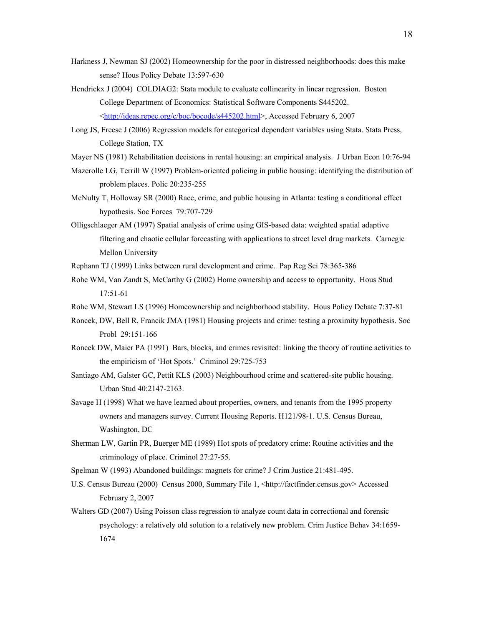- Harkness J, Newman SJ (2002) Homeownership for the poor in distressed neighborhoods: does this make sense? Hous Policy Debate 13:597-630
- Hendrickx J (2004) COLDIAG2: Stata module to evaluate collinearity in linear regression. Boston College Department of Economics: Statistical Software Components S445202. <[http://ideas.repec.org/c/boc/bocode/s445202.html>](http://ideas.repec.org/c/boc/bocode/s445202.html), Accessed February 6, 2007
- Long JS, Freese J (2006) Regression models for categorical dependent variables using Stata. Stata Press, College Station, TX
- Mayer NS (1981) Rehabilitation decisions in rental housing: an empirical analysis. J Urban Econ 10:76-94
- Mazerolle LG, Terrill W (1997) Problem-oriented policing in public housing: identifying the distribution of problem places. Polic 20:235-255
- McNulty T, Holloway SR (2000) Race, crime, and public housing in Atlanta: testing a conditional effect hypothesis. Soc Forces 79:707-729
- Olligschlaeger AM (1997) Spatial analysis of crime using GIS-based data: weighted spatial adaptive filtering and chaotic cellular forecasting with applications to street level drug markets. Carnegie Mellon University
- Rephann TJ (1999) Links between rural development and crime. Pap Reg Sci 78:365-386
- Rohe WM, Van Zandt S, McCarthy G (2002) Home ownership and access to opportunity. Hous Stud 17:51-61
- Rohe WM, Stewart LS (1996) Homeownership and neighborhood stability. Hous Policy Debate 7:37-81
- Roncek, DW, Bell R, Francik JMA (1981) Housing projects and crime: testing a proximity hypothesis. Soc Probl 29:151-166
- Roncek DW, Maier PA (1991) Bars, blocks, and crimes revisited: linking the theory of routine activities to the empiricism of 'Hot Spots.' Criminol 29:725-753
- Santiago AM, Galster GC, Pettit KLS (2003) Neighbourhood crime and scattered-site public housing. Urban Stud 40:2147-2163.
- Savage H (1998) What we have learned about properties, owners, and tenants from the 1995 property owners and managers survey. Current Housing Reports. H121/98-1. U.S. Census Bureau, Washington, DC
- Sherman LW, Gartin PR, Buerger ME (1989) Hot spots of predatory crime: Routine activities and the criminology of place. Criminol 27:27-55.
- Spelman W (1993) Abandoned buildings: magnets for crime? J Crim Justice 21:481-495.
- U.S. Census Bureau (2000) Census 2000, Summary File 1, <http://factfinder.census.gov> Accessed February 2, 2007
- Walters GD (2007) Using Poisson class regression to analyze count data in correctional and forensic psychology: a relatively old solution to a relatively new problem. Crim Justice Behav 34:1659- 1674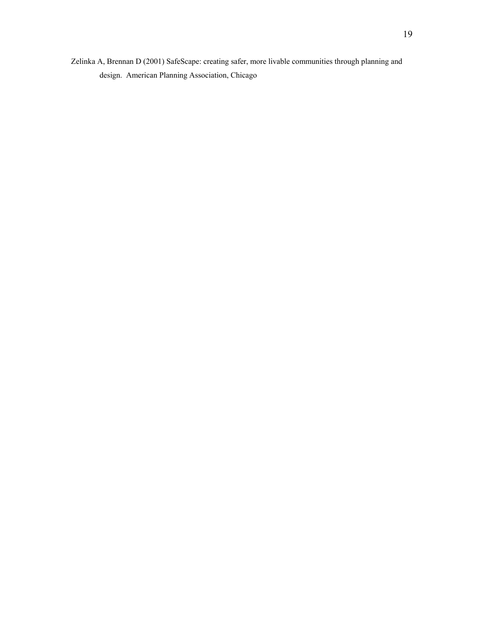Zelinka A, Brennan D (2001) SafeScape: creating safer, more livable communities through planning and design. American Planning Association, Chicago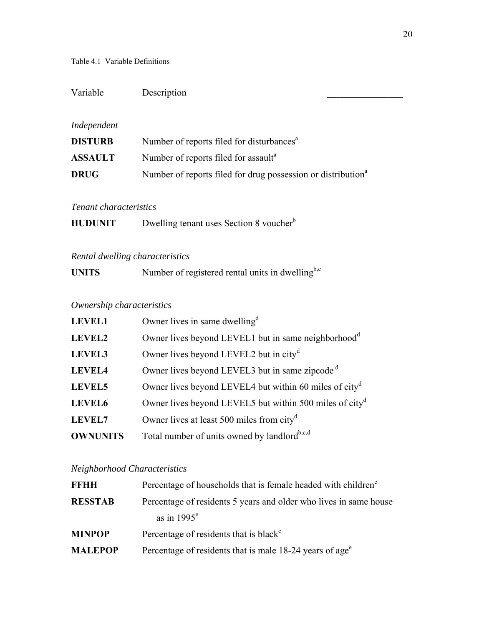### Variable Description

### *Independent*

| <b>DISTURB</b> | Number of reports filed for disturbances <sup>a</sup>                    |
|----------------|--------------------------------------------------------------------------|
| <b>ASSAULT</b> | Number of reports filed for assault <sup>a</sup>                         |
| <b>DRUG</b>    | Number of reports filed for drug possession or distribution <sup>a</sup> |

### *Tenant characteristics*

| Dwelling tenant uses Section 8 voucher <sup>b</sup><br><b>HUDUNIT</b> |
|-----------------------------------------------------------------------|
|-----------------------------------------------------------------------|

### *Rental dwelling characteristics*

| <b>UNITS</b> | Number of registered rental units in dwelling <sup>b,c</sup> |  |
|--------------|--------------------------------------------------------------|--|
|              |                                                              |  |

### *Ownership characteristics*

| <b>LEVEL1</b>   | Owner lives in same dwelling <sup>d</sup>                           |
|-----------------|---------------------------------------------------------------------|
| <b>LEVEL2</b>   | Owner lives beyond LEVEL1 but in same neighborhood <sup>d</sup>     |
| LEVEL3          | Owner lives beyond LEVEL2 but in city <sup>d</sup>                  |
| <b>LEVEL4</b>   | Owner lives beyond LEVEL3 but in same zipcode <sup>d</sup>          |
| <b>LEVEL5</b>   | Owner lives beyond LEVEL4 but within 60 miles of city <sup>d</sup>  |
| <b>LEVEL6</b>   | Owner lives beyond LEVEL5 but within 500 miles of city <sup>d</sup> |
| <b>LEVEL7</b>   | Owner lives at least 500 miles from city <sup>d</sup>               |
| <b>OWNUNITS</b> | Total number of units owned by landlord <sup>b,c,d</sup>            |

### *Neighborhood Characteristics*

| <b>FFHH</b>    | Percentage of households that is female headed with children <sup>e</sup> |
|----------------|---------------------------------------------------------------------------|
| <b>RESSTAB</b> | Percentage of residents 5 years and older who lives in same house         |
|                | as in $1995^e$                                                            |
| <b>MINPOP</b>  | Percentage of residents that is black <sup>e</sup>                        |
| <b>MALEPOP</b> | Percentage of residents that is male 18-24 years of age <sup>e</sup>      |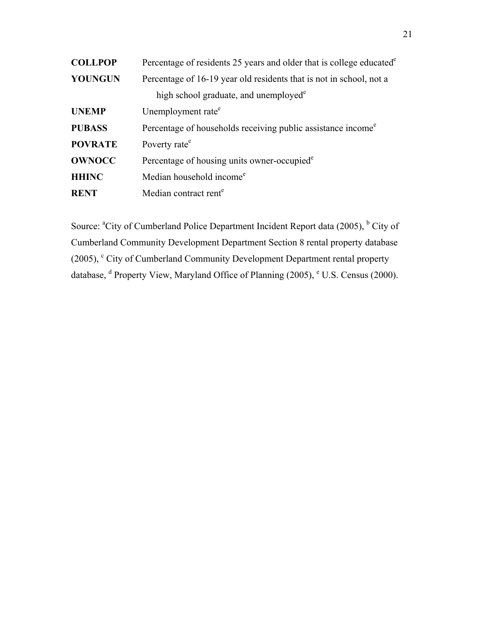| <b>COLLPOP</b> | Percentage of residents 25 years and older that is college educated <sup>e</sup> |  |  |  |  |  |
|----------------|----------------------------------------------------------------------------------|--|--|--|--|--|
| <b>YOUNGUN</b> | Percentage of 16-19 year old residents that is not in school, not a              |  |  |  |  |  |
|                | high school graduate, and unemployed <sup>e</sup>                                |  |  |  |  |  |
| <b>UNEMP</b>   | Unemployment rate <sup>e</sup>                                                   |  |  |  |  |  |
| <b>PUBASS</b>  | Percentage of households receiving public assistance income <sup>e</sup>         |  |  |  |  |  |
| <b>POVRATE</b> | Poverty rate <sup>e</sup>                                                        |  |  |  |  |  |
| <b>OWNOCC</b>  | Percentage of housing units owner-occupied <sup>e</sup>                          |  |  |  |  |  |
| <b>HHINC</b>   | Median household income <sup>e</sup>                                             |  |  |  |  |  |
| <b>RENT</b>    | Median contract rent <sup>e</sup>                                                |  |  |  |  |  |

Source: <sup>a</sup>City of Cumberland Police Department Incident Report data (2005), <sup>b</sup> City of Cumberland Community Development Department Section 8 rental property database (2005), <sup>c</sup> City of Cumberland Community Development Department rental property database, <sup>d</sup> Property View, Maryland Office of Planning (2005), <sup>e</sup> U.S. Census (2000).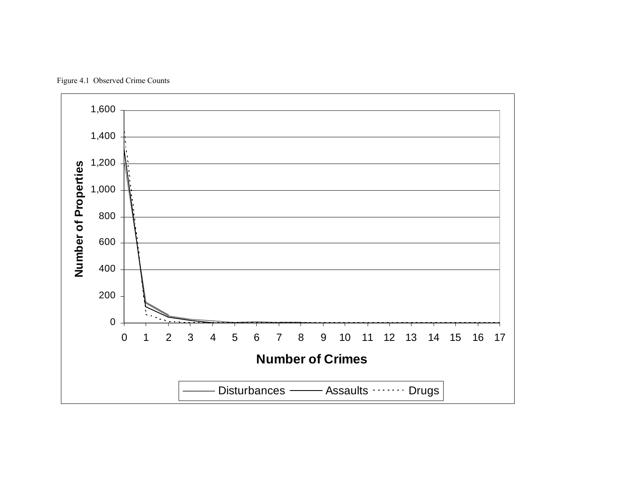

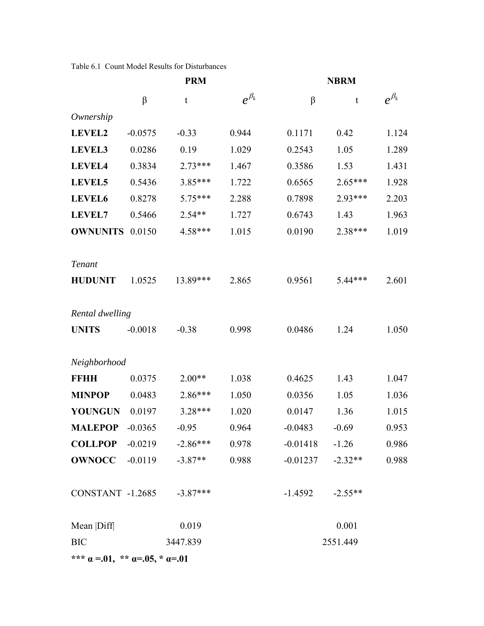Table 6.1 Count Model Results for Disturbances

|                                                            |           | <b>PRM</b>                                |               | <b>NBRM</b> |           |               |  |
|------------------------------------------------------------|-----------|-------------------------------------------|---------------|-------------|-----------|---------------|--|
|                                                            | $\beta$   | t                                         | $e^{\beta_k}$ | $\beta$     | t         | $e^{\beta_k}$ |  |
| Ownership                                                  |           |                                           |               |             |           |               |  |
| LEVEL2                                                     | $-0.0575$ | $-0.33$                                   | 0.944         | 0.1171      | 0.42      | 1.124         |  |
| LEVEL3                                                     | 0.0286    | 0.19                                      | 1.029         | 0.2543      | 1.05      | 1.289         |  |
| LEVEL4                                                     | 0.3834    | $2.73***$                                 | 1.467         | 0.3586      | 1.53      | 1.431         |  |
| <b>LEVEL5</b>                                              | 0.5436    | 3.85***                                   | 1.722         | 0.6565      | $2.65***$ | 1.928         |  |
| LEVEL6                                                     | 0.8278    | 5.75***                                   | 2.288         | 0.7898      | 2.93***   | 2.203         |  |
| <b>LEVEL7</b>                                              | 0.5466    | $2.54**$                                  | 1.727         | 0.6743      | 1.43      | 1.963         |  |
| <b>OWNUNITS</b>                                            | 0.0150    | 4.58***                                   | 1.015         | 0.0190      | 2.38***   | 1.019         |  |
| <b>Tenant</b>                                              |           |                                           |               |             |           |               |  |
| <b>HUDUNIT</b>                                             | 1.0525    | 13.89***                                  | 2.865         | 0.9561      | $5.44***$ | 2.601         |  |
| Rental dwelling                                            |           |                                           |               |             |           |               |  |
| <b>UNITS</b>                                               | $-0.0018$ | $-0.38$                                   | 0.998         | 0.0486      | 1.24      | 1.050         |  |
| Neighborhood                                               |           |                                           |               |             |           |               |  |
| <b>FFHH</b>                                                | 0.0375    | $2.00**$                                  | 1.038         | 0.4625      | 1.43      | 1.047         |  |
| <b>MINPOP</b>                                              | 0.0483    | 2.86***                                   | 1.050         | 0.0356      | 1.05      | 1.036         |  |
| <b>YOUNGUN</b>                                             | 0.0197    | 3.28***                                   | 1.020         | 0.0147      | 1.36      | 1.015         |  |
| <b>MALEPOP</b>                                             | $-0.0365$ | $-0.95$                                   | 0.964         | $-0.0483$   | $-0.69$   | 0.953         |  |
|                                                            |           | <b>COLLPOP</b> $-0.0219$ $-2.86***$ 0.978 |               | $-0.01418$  | $-1.26$   | 0.986         |  |
| $OWNOCC$ -0.0119                                           |           | $-3.87**$                                 | 0.988         | $-0.01237$  | $-2.32**$ | 0.988         |  |
| CONSTANT -1.2685 -3.87***                                  |           |                                           |               | $-1.4592$   | $-2.55**$ |               |  |
| Mean  Diff                                                 |           | 0.019                                     |               |             | 0.001     |               |  |
| <b>BIC</b>                                                 |           | 3447.839                                  |               |             | 2551.449  |               |  |
| *** $\alpha = 01$ , ** $\alpha = 0.05$ , * $\alpha = 0.01$ |           |                                           |               |             |           |               |  |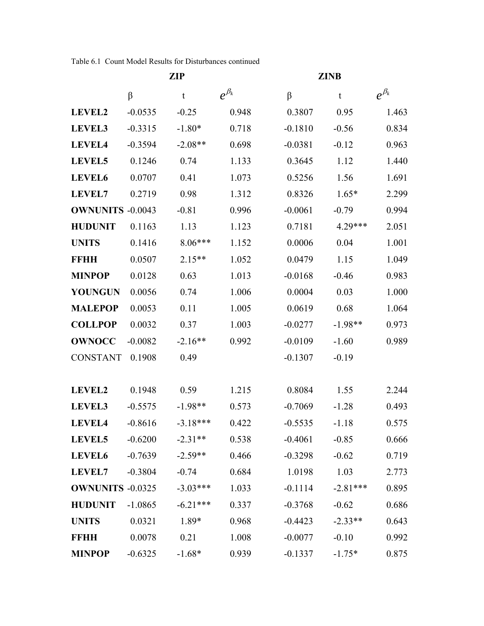Table 6.1 Count Model Results for Disturbances continued

|                         | <b>ZIP</b> |            |               | <b>ZINB</b> |             |               |  |
|-------------------------|------------|------------|---------------|-------------|-------------|---------------|--|
|                         | β          | t          | $e^{\beta_k}$ | $\beta$     | $\mathbf t$ | $e^{\beta_k}$ |  |
| LEVEL2                  | $-0.0535$  | $-0.25$    | 0.948         | 0.3807      | 0.95        | 1.463         |  |
| <b>LEVEL3</b>           | $-0.3315$  | $-1.80*$   | 0.718         | $-0.1810$   | $-0.56$     | 0.834         |  |
| LEVEL4                  | $-0.3594$  | $-2.08**$  | 0.698         | $-0.0381$   | $-0.12$     | 0.963         |  |
| LEVEL5                  | 0.1246     | 0.74       | 1.133         | 0.3645      | 1.12        | 1.440         |  |
| <b>LEVEL6</b>           | 0.0707     | 0.41       | 1.073         | 0.5256      | 1.56        | 1.691         |  |
| <b>LEVEL7</b>           | 0.2719     | 0.98       | 1.312         | 0.8326      | $1.65*$     | 2.299         |  |
| <b>OWNUNITS -0.0043</b> |            | $-0.81$    | 0.996         | $-0.0061$   | $-0.79$     | 0.994         |  |
| <b>HUDUNIT</b>          | 0.1163     | 1.13       | 1.123         | 0.7181      | 4.29***     | 2.051         |  |
| <b>UNITS</b>            | 0.1416     | $8.06***$  | 1.152         | 0.0006      | 0.04        | 1.001         |  |
| <b>FFHH</b>             | 0.0507     | $2.15**$   | 1.052         | 0.0479      | 1.15        | 1.049         |  |
| <b>MINPOP</b>           | 0.0128     | 0.63       | 1.013         | $-0.0168$   | $-0.46$     | 0.983         |  |
| <b>YOUNGUN</b>          | 0.0056     | 0.74       | 1.006         | 0.0004      | 0.03        | 1.000         |  |
| <b>MALEPOP</b>          | 0.0053     | 0.11       | 1.005         | 0.0619      | 0.68        | 1.064         |  |
| <b>COLLPOP</b>          | 0.0032     | 0.37       | 1.003         | $-0.0277$   | $-1.98**$   | 0.973         |  |
| <b>OWNOCC</b>           | $-0.0082$  | $-2.16**$  | 0.992         | $-0.0109$   | $-1.60$     | 0.989         |  |
| <b>CONSTANT</b>         | 0.1908     | 0.49       |               | $-0.1307$   | $-0.19$     |               |  |
|                         |            |            |               |             |             |               |  |
| LEVEL2                  | 0.1948     | 0.59       | 1.215         | 0.8084      | 1.55        | 2.244         |  |
| LEVEL3                  | $-0.5575$  | $-1.98**$  | 0.573         | $-0.7069$   | $-1.28$     | 0.493         |  |
| LEVEL4                  | $-0.8616$  | $-3.18***$ | 0.422         | $-0.5535$   | $-1.18$     | 0.575         |  |
| <b>LEVEL5</b>           | $-0.6200$  | $-2.31**$  | 0.538         | $-0.4061$   | $-0.85$     | 0.666         |  |
| LEVEL6                  | $-0.7639$  | $-2.59**$  | 0.466         | $-0.3298$   | $-0.62$     | 0.719         |  |
| <b>LEVEL7</b>           | $-0.3804$  | $-0.74$    | 0.684         | 1.0198      | 1.03        | 2.773         |  |
| <b>OWNUNITS -0.0325</b> |            | $-3.03***$ | 1.033         | $-0.1114$   | $-2.81***$  | 0.895         |  |
| <b>HUDUNIT</b>          | $-1.0865$  | $-6.21***$ | 0.337         | $-0.3768$   | $-0.62$     | 0.686         |  |
| <b>UNITS</b>            | 0.0321     | 1.89*      | 0.968         | $-0.4423$   | $-2.33**$   | 0.643         |  |
| <b>FFHH</b>             | 0.0078     | 0.21       | 1.008         | $-0.0077$   | $-0.10$     | 0.992         |  |
| <b>MINPOP</b>           | $-0.6325$  | $-1.68*$   | 0.939         | $-0.1337$   | $-1.75*$    | 0.875         |  |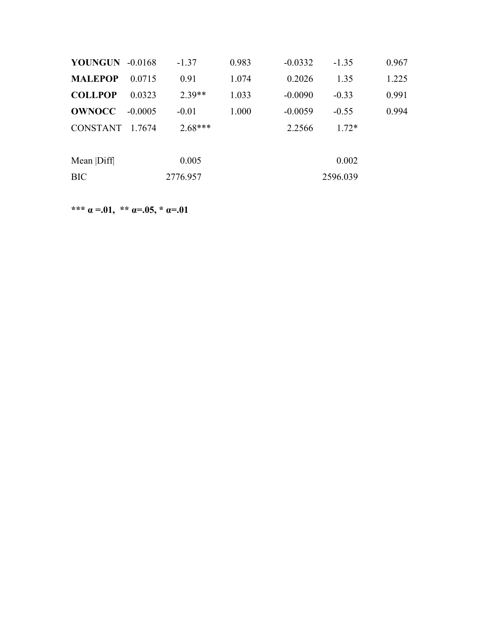| <b>YOUNGUN -0.0168</b> |           | $-1.37$   | 0.983 | $-0.0332$ | $-1.35$  | 0.967 |
|------------------------|-----------|-----------|-------|-----------|----------|-------|
| <b>MALEPOP</b>         | 0.0715    | 0.91      | 1.074 | 0.2026    | 1.35     | 1.225 |
| <b>COLLPOP</b>         | 0.0323    | $2.39**$  | 1.033 | $-0.0090$ | $-0.33$  | 0.991 |
| <b>OWNOCC</b>          | $-0.0005$ | $-0.01$   | 1.000 | $-0.0059$ | $-0.55$  | 0.994 |
| CONSTANT 1.7674        |           | $2.68***$ |       | 2.2566    | $1.72*$  |       |
|                        |           |           |       |           |          |       |
| Mean  Diff             |           | 0.005     |       |           | 0.002    |       |
| <b>BIC</b>             |           | 2776.957  |       |           | 2596.039 |       |

**\*\*\***  $\alpha = .01$ , \*\*  $\alpha = .05$ , \*  $\alpha = .01$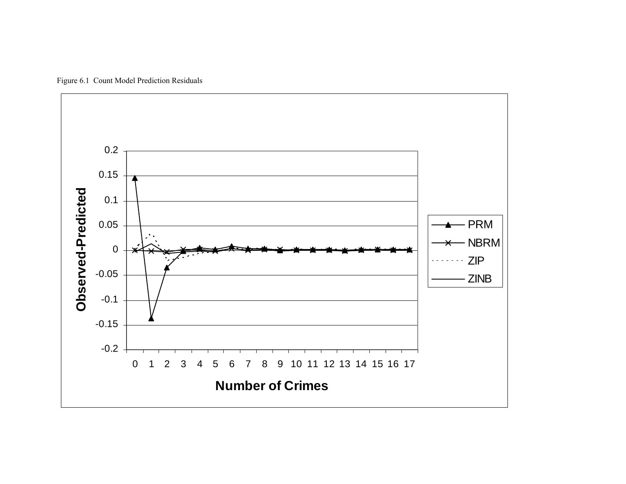

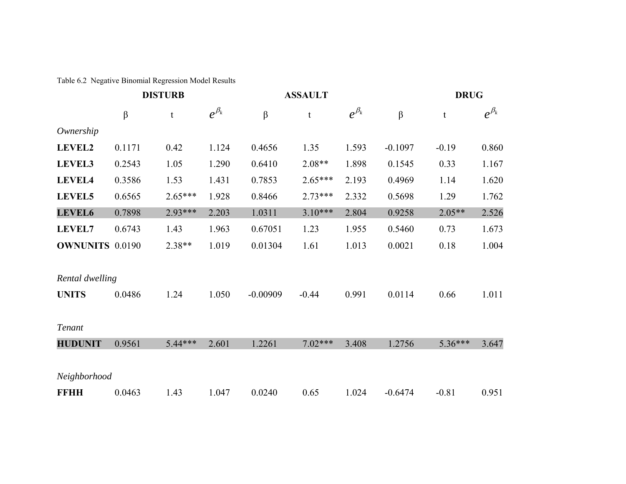Table 6.2 Negative Binomial Regression Model Results

|                        | <b>DISTURB</b> |             |               |            | <b>ASSAULT</b> |               |           | <b>DRUG</b> |               |  |
|------------------------|----------------|-------------|---------------|------------|----------------|---------------|-----------|-------------|---------------|--|
|                        | $\beta$        | $\mathbf t$ | $e^{\beta_k}$ | β          | t              | $e^{\beta_k}$ | $\beta$   | $\mathbf t$ | $e^{\beta_k}$ |  |
| Ownership              |                |             |               |            |                |               |           |             |               |  |
| <b>LEVEL2</b>          | 0.1171         | 0.42        | 1.124         | 0.4656     | 1.35           | 1.593         | $-0.1097$ | $-0.19$     | 0.860         |  |
| <b>LEVEL3</b>          | 0.2543         | 1.05        | 1.290         | 0.6410     | $2.08**$       | 1.898         | 0.1545    | 0.33        | 1.167         |  |
| LEVEL4                 | 0.3586         | 1.53        | 1.431         | 0.7853     | $2.65***$      | 2.193         | 0.4969    | 1.14        | 1.620         |  |
| LEVEL5                 | 0.6565         | $2.65***$   | 1.928         | 0.8466     | $2.73***$      | 2.332         | 0.5698    | 1.29        | 1.762         |  |
| <b>LEVEL6</b>          | 0.7898         | 2.93***     | 2.203         | 1.0311     | $3.10***$      | 2.804         | 0.9258    | $2.05**$    | 2.526         |  |
| <b>LEVEL7</b>          | 0.6743         | 1.43        | 1.963         | 0.67051    | 1.23           | 1.955         | 0.5460    | 0.73        | 1.673         |  |
| <b>OWNUNITS 0.0190</b> |                | 2.38**      | 1.019         | 0.01304    | 1.61           | 1.013         | 0.0021    | 0.18        | 1.004         |  |
| Rental dwelling        |                |             |               |            |                |               |           |             |               |  |
| <b>UNITS</b>           | 0.0486         | 1.24        | 1.050         | $-0.00909$ | $-0.44$        | 0.991         | 0.0114    | 0.66        | 1.011         |  |
| Tenant                 |                |             |               |            |                |               |           |             |               |  |
| <b>HUDUNIT</b>         | 0.9561         | $5.44***$   | 2.601         | 1.2261     | $7.02***$      | 3.408         | 1.2756    | 5.36***     | 3.647         |  |
| Neighborhood           |                |             |               |            |                |               |           |             |               |  |
| <b>FFHH</b>            | 0.0463         | 1.43        | 1.047         | 0.0240     | 0.65           | 1.024         | $-0.6474$ | $-0.81$     | 0.951         |  |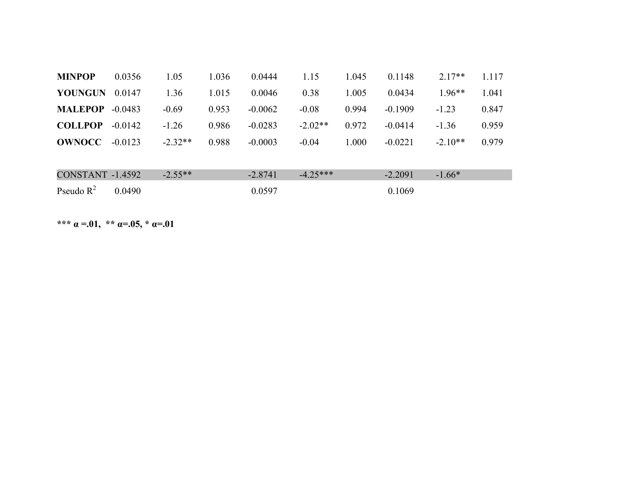| <b>MINPOP</b>           | 0.0356    | 1.05      | 1.036 | 0.0444    | 1.15       | 1.045 | 0.1148    | $2.17**$  | 1.117 |
|-------------------------|-----------|-----------|-------|-----------|------------|-------|-----------|-----------|-------|
| <b>YOUNGUN</b>          | 0.0147    | 1.36      | 1.015 | 0.0046    | 0.38       | 1.005 | 0.0434    | $1.96**$  | 1.041 |
| <b>MALEPOP</b>          | $-0.0483$ | $-0.69$   | 0.953 | $-0.0062$ | $-0.08$    | 0.994 | $-0.1909$ | $-1.23$   | 0.847 |
| <b>COLLPOP</b>          | $-0.0142$ | $-1.26$   | 0.986 | $-0.0283$ | $-2.02**$  | 0.972 | $-0.0414$ | $-1.36$   | 0.959 |
| <b>OWNOCC</b>           | $-0.0123$ | $-2.32**$ | 0.988 | $-0.0003$ | $-0.04$    | 1.000 | $-0.0221$ | $-2.10**$ | 0.979 |
|                         |           |           |       |           |            |       |           |           |       |
| <b>CONSTANT -1.4592</b> |           | $-2.55**$ |       | $-2.8741$ | $-4.25***$ |       | $-2.2091$ | $-1.66*$  |       |
| Pseudo $R^2$            | 0.0490    |           |       | 0.0597    |            |       | 0.1069    |           |       |

**\*\*\***  $\alpha = .01$ , \*\*  $\alpha = .05$ , \*  $\alpha = .01$